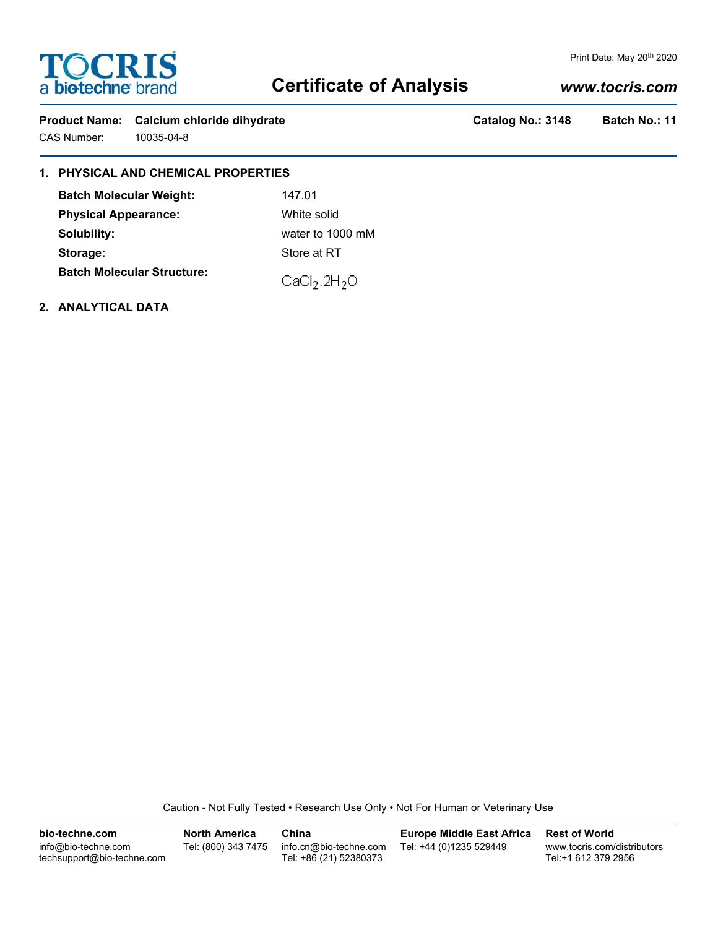

### Print Date: May 20<sup>th</sup> 2020

# **Certificate of Analysis**

# *www.tocris.com*

Product Name: Calcium chloride dihydrate **Catalog No.: 3148** Batch No.: 11 CAS Number: 10035-04-8

# **1. PHYSICAL AND CHEMICAL PROPERTIES**

| <b>Batch Molecular Weight:</b>    | 147.01                               |  |
|-----------------------------------|--------------------------------------|--|
| <b>Physical Appearance:</b>       | White solid                          |  |
| Solubility:                       | water to 1000 mM                     |  |
| Storage:                          | Store at RT                          |  |
| <b>Batch Molecular Structure:</b> | CaCl <sub>2</sub> .2H <sub>2</sub> O |  |

**2. ANALYTICAL DATA**

Caution - Not Fully Tested • Research Use Only • Not For Human or Veterinary Use

| bio-techne.com                                    | <b>North America</b> | China                                            | <b>Europe Middle East Africa</b> | <b>Rest of World</b>                               |
|---------------------------------------------------|----------------------|--------------------------------------------------|----------------------------------|----------------------------------------------------|
| info@bio-techne.com<br>techsupport@bio-techne.com | Tel: (800) 343 7475  | info.cn@bio-techne.com<br>Tel: +86 (21) 52380373 | Tel: +44 (0)1235 529449          | www.tocris.com/distributors<br>Tel:+1 612 379 2956 |